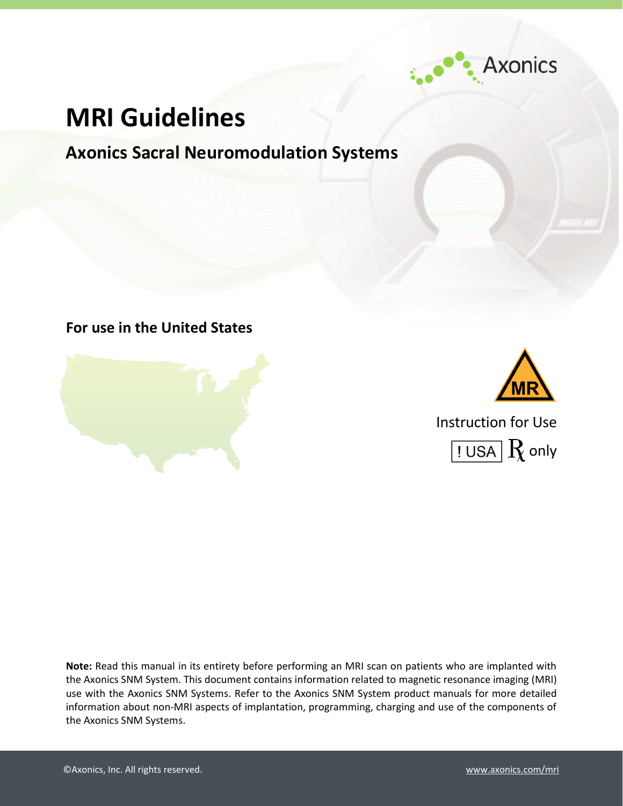

# **MRI Guidelines**

# **Axonics Sacral Neuromodulation Systems**

**For use in the United States**





**Note:** Read this manual in its entirety before performing an MRI scan on patients who are implanted with the Axonics SNM System. This document contains information related to magnetic resonance imaging (MRI) use with the Axonics SNM Systems. Refer to the Axonics SNM System product manuals for more detailed information about non-MRI aspects of implantation, programming, charging and use of the components of the Axonics SNM Systems.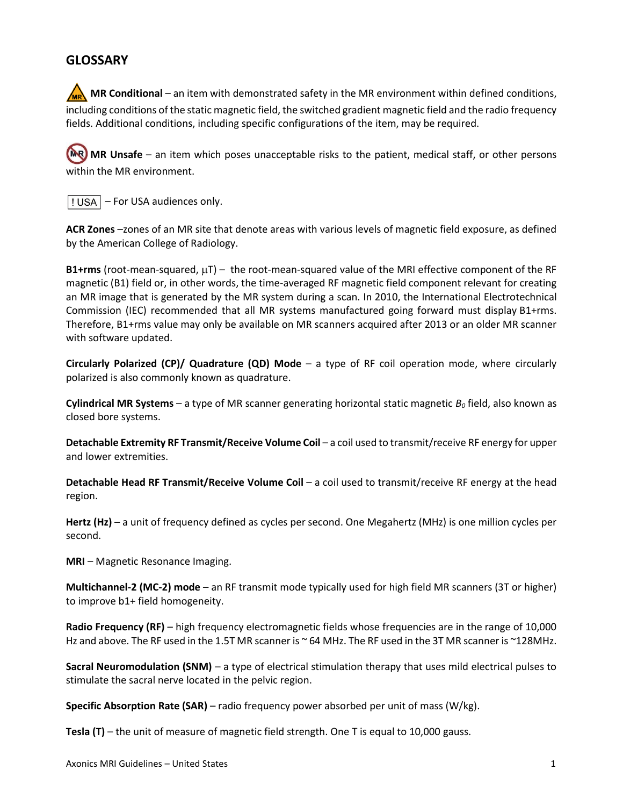## <span id="page-1-0"></span>**GLOSSARY**

**MR Conditional** – an item with demonstrated safety in the MR environment within defined conditions, including conditions of the static magnetic field, the switched gradient magnetic field and the radio frequency fields. Additional conditions, including specific configurations of the item, may be required.

**MR** MR Unsafe – an item which poses unacceptable risks to the patient, medical staff, or other persons within the MR environment.

 $|I|$  USA  $|-$  For USA audiences only.

**ACR Zones** –zones of an MR site that denote areas with various levels of magnetic field exposure, as defined by the American College of Radiology.

**B1+rms** (root-mean-squared,  $\mu$ T) – the root-mean-squared value of the MRI effective component of the RF magnetic (B1) field or, in other words, the time-averaged RF magnetic field component relevant for creating an MR image that is generated by the MR system during a scan. In 2010, the International Electrotechnical Commission (IEC) recommended that all MR systems manufactured going forward must display B1+rms. Therefore, B1+rms value may only be available on MR scanners acquired after 2013 or an older MR scanner with software updated.

**Circularly Polarized (CP)/ Quadrature (QD) Mode** – a type of RF coil operation mode, where circularly polarized is also commonly known as quadrature.

**Cylindrical MR Systems** – a type of MR scanner generating horizontal static magnetic *B<sup>0</sup>* field, also known as closed bore systems.

**Detachable Extremity RF Transmit/Receive Volume Coil** – a coil used to transmit/receive RF energy for upper and lower extremities.

**Detachable Head RF Transmit/Receive Volume Coil** – a coil used to transmit/receive RF energy at the head region.

**Hertz (Hz)** – a unit of frequency defined as cycles per second. One Megahertz (MHz) is one million cycles per second.

**MRI** – Magnetic Resonance Imaging.

**Multichannel-2 (MC-2) mode** – an RF transmit mode typically used for high field MR scanners (3T or higher) to improve b1+ field homogeneity.

**Radio Frequency (RF)** – high frequency electromagnetic fields whose frequencies are in the range of 10,000 Hz and above. The RF used in the 1.5T MR scanner is ~64 MHz. The RF used in the 3T MR scanner is ~128MHz.

**Sacral Neuromodulation (SNM)** – a type of electrical stimulation therapy that uses mild electrical pulses to stimulate the sacral nerve located in the pelvic region.

**Specific Absorption Rate (SAR)** – radio frequency power absorbed per unit of mass (W/kg).

**Tesla (T)** – the unit of measure of magnetic field strength. One T is equal to 10,000 gauss.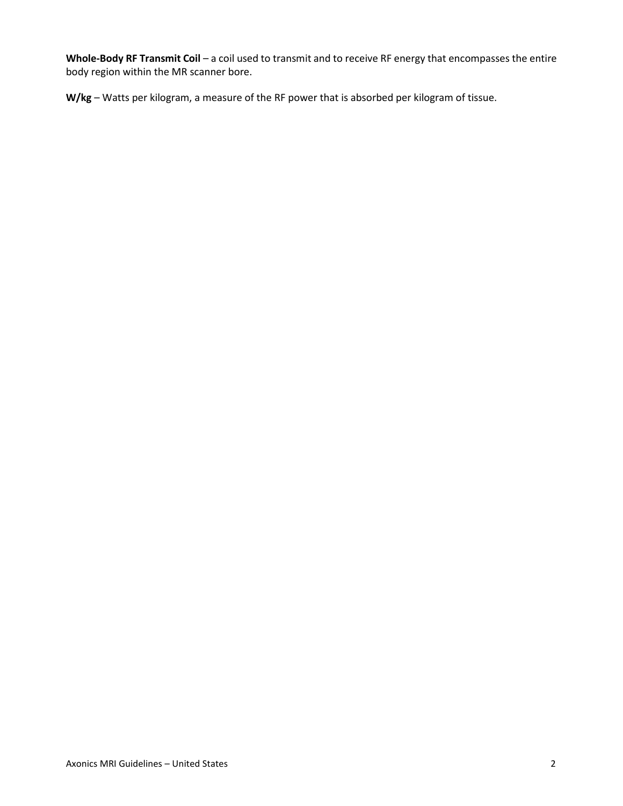**Whole-Body RF Transmit Coil** – a coil used to transmit and to receive RF energy that encompasses the entire body region within the MR scanner bore.

**W/kg** – Watts per kilogram, a measure of the RF power that is absorbed per kilogram of tissue.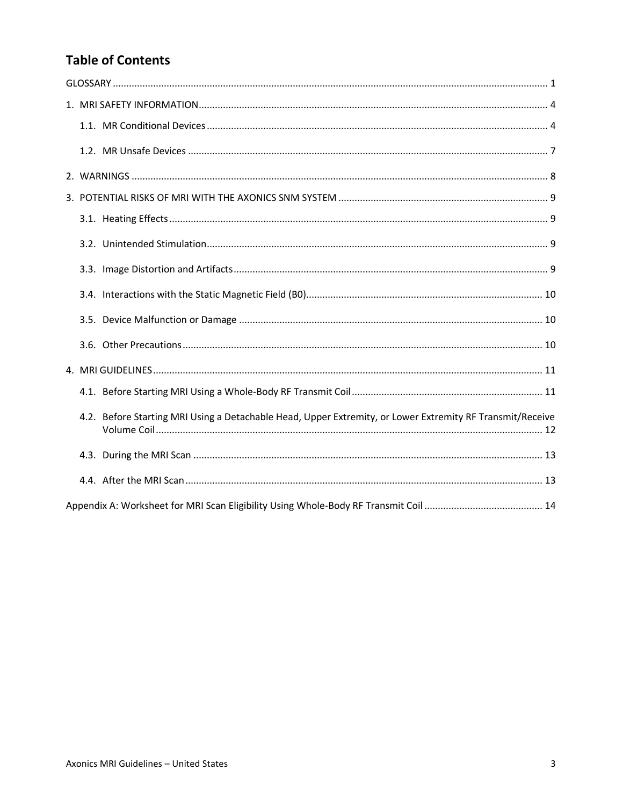# **Table of Contents**

| 4.2. Before Starting MRI Using a Detachable Head, Upper Extremity, or Lower Extremity RF Transmit/Receive |  |  |  |  |
|-----------------------------------------------------------------------------------------------------------|--|--|--|--|
|                                                                                                           |  |  |  |  |
|                                                                                                           |  |  |  |  |
|                                                                                                           |  |  |  |  |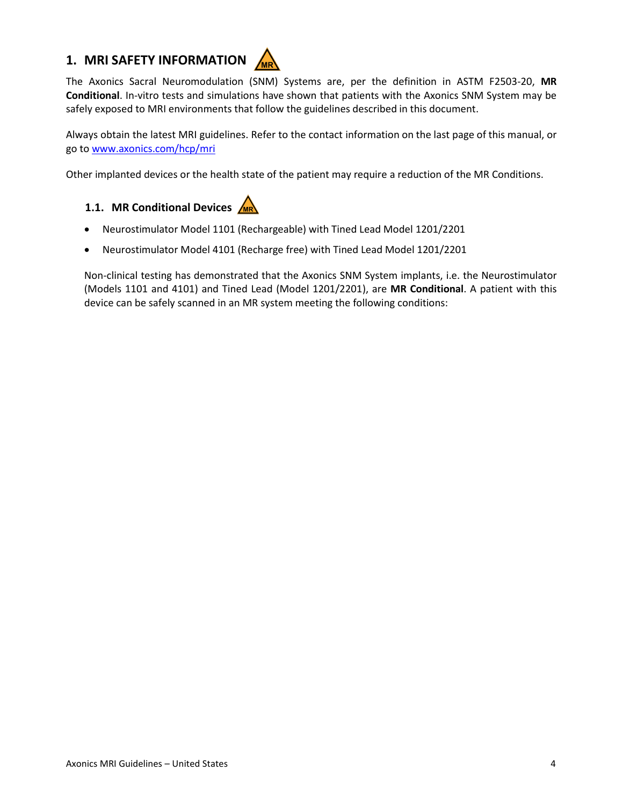# <span id="page-4-0"></span>**1. MRI SAFETY INFORMATION**

The Axonics Sacral Neuromodulation (SNM) Systems are, per the definition in ASTM F2503-20, **MR Conditional**. In-vitro tests and simulations have shown that patients with the Axonics SNM System may be safely exposed to MRI environments that follow the guidelines described in this document.

Always obtain the latest MRI guidelines. Refer to the contact information on the last page of this manual, or go to [www.axonics.com/hcp/mri](http://www.axonics.com/hcp/mri)

Other implanted devices or the health state of the patient may require a reduction of the MR Conditions.

# <span id="page-4-1"></span>**1.1. MR Conditional Devices**

- Neurostimulator Model 1101 (Rechargeable) with Tined Lead Model 1201/2201
- Neurostimulator Model 4101 (Recharge free) with Tined Lead Model 1201/2201

Non-clinical testing has demonstrated that the Axonics SNM System implants, i.e. the Neurostimulator (Models 1101 and 4101) and Tined Lead (Model 1201/2201), are **MR Conditional**. A patient with this device can be safely scanned in an MR system meeting the following conditions: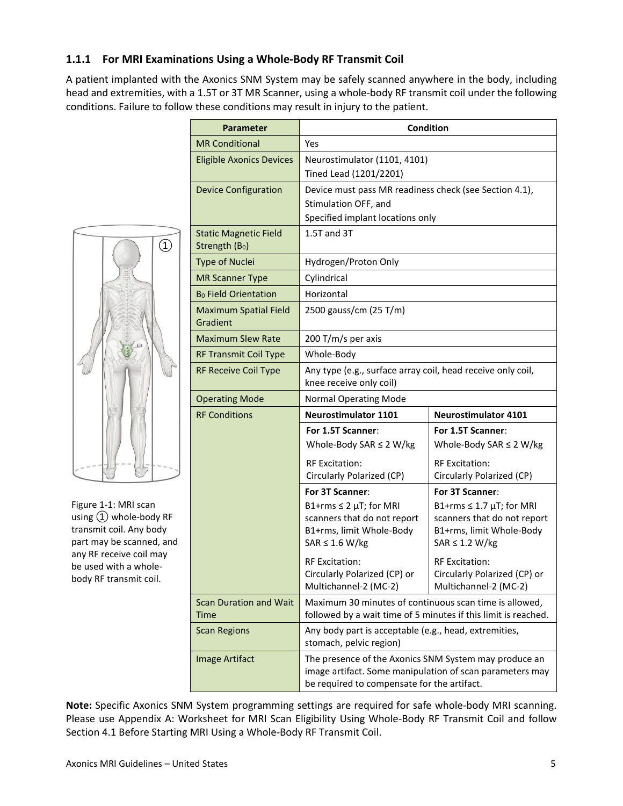#### **1.1.1 For MRI Examinations Using a Whole-Body RF Transmit Coil**

A patient implanted with the Axonics SNM System may be safely scanned anywhere in the body, including head and extremities, with a 1.5T or 3T MR Scanner, using a whole-body RF transmit coil under the following conditions. Failure to follow these conditions may result in injury to the patient.



Figure 1-1: MRI scan using ① whole-body RF transmit coil. Any body part may be scanned, and any RF receive coil may be used with a wholebody RF transmit coil.

| <b>Parameter</b>                                                                                                                                                         | <b>Condition</b>                                                                                                                                                 |                                                         |  |
|--------------------------------------------------------------------------------------------------------------------------------------------------------------------------|------------------------------------------------------------------------------------------------------------------------------------------------------------------|---------------------------------------------------------|--|
| <b>MR Conditional</b>                                                                                                                                                    | Yes                                                                                                                                                              |                                                         |  |
| <b>Eligible Axonics Devices</b>                                                                                                                                          | Neurostimulator (1101, 4101)<br>Tined Lead (1201/2201)                                                                                                           |                                                         |  |
| <b>Device Configuration</b>                                                                                                                                              | Device must pass MR readiness check (see Section 4.1),                                                                                                           |                                                         |  |
|                                                                                                                                                                          | Stimulation OFF, and                                                                                                                                             |                                                         |  |
|                                                                                                                                                                          | Specified implant locations only                                                                                                                                 |                                                         |  |
| <b>Static Magnetic Field</b><br>Strength (B <sub>0</sub> )                                                                                                               | 1.5T and 3T                                                                                                                                                      |                                                         |  |
| <b>Type of Nuclei</b>                                                                                                                                                    | Hydrogen/Proton Only                                                                                                                                             |                                                         |  |
| <b>MR Scanner Type</b>                                                                                                                                                   | Cylindrical                                                                                                                                                      |                                                         |  |
| <b>B<sub>0</sub></b> Field Orientation                                                                                                                                   | Horizontal                                                                                                                                                       |                                                         |  |
| <b>Maximum Spatial Field</b><br>Gradient                                                                                                                                 | 2500 gauss/cm (25 T/m)                                                                                                                                           |                                                         |  |
| <b>Maximum Slew Rate</b>                                                                                                                                                 | 200 T/m/s per axis                                                                                                                                               |                                                         |  |
| <b>RF Transmit Coil Type</b>                                                                                                                                             | Whole-Body                                                                                                                                                       |                                                         |  |
| <b>RF Receive Coil Type</b>                                                                                                                                              | Any type (e.g., surface array coil, head receive only coil,<br>knee receive only coil)                                                                           |                                                         |  |
| <b>Operating Mode</b>                                                                                                                                                    | <b>Normal Operating Mode</b>                                                                                                                                     |                                                         |  |
| <b>RF Conditions</b>                                                                                                                                                     | <b>Neurostimulator 1101</b>                                                                                                                                      | <b>Neurostimulator 4101</b>                             |  |
|                                                                                                                                                                          | For 1.5T Scanner:                                                                                                                                                | For 1.5T Scanner:                                       |  |
|                                                                                                                                                                          | Whole-Body SAR $\leq$ 2 W/kg                                                                                                                                     | Whole-Body SAR $\leq$ 2 W/kg                            |  |
|                                                                                                                                                                          | <b>RF Excitation:</b>                                                                                                                                            | <b>RF Excitation:</b>                                   |  |
|                                                                                                                                                                          | Circularly Polarized (CP)                                                                                                                                        | Circularly Polarized (CP)                               |  |
|                                                                                                                                                                          | For 3T Scanner:                                                                                                                                                  | For 3T Scanner:                                         |  |
|                                                                                                                                                                          | B1+rms $\leq 2 \mu T$ ; for MRI                                                                                                                                  | B1+rms $\leq 1.7 \mu T$ ; for MRI                       |  |
|                                                                                                                                                                          | scanners that do not report<br>B1+rms, limit Whole-Body                                                                                                          | scanners that do not report<br>B1+rms, limit Whole-Body |  |
|                                                                                                                                                                          | $SAR \leq 1.6 W/kg$                                                                                                                                              | $SAR \leq 1.2 W/kg$                                     |  |
|                                                                                                                                                                          | <b>RF Excitation:</b>                                                                                                                                            | <b>RF Excitation:</b>                                   |  |
|                                                                                                                                                                          | Circularly Polarized (CP) or                                                                                                                                     | Circularly Polarized (CP) or                            |  |
|                                                                                                                                                                          | Multichannel-2 (MC-2)                                                                                                                                            | Multichannel-2 (MC-2)                                   |  |
| <b>Scan Duration and Wait</b><br>Maximum 30 minutes of continuous scan time is allowed,<br>followed by a wait time of 5 minutes if this limit is reached.<br><b>Time</b> |                                                                                                                                                                  |                                                         |  |
| <b>Scan Regions</b>                                                                                                                                                      | Any body part is acceptable (e.g., head, extremities,<br>stomach, pelvic region)                                                                                 |                                                         |  |
| <b>Image Artifact</b>                                                                                                                                                    | The presence of the Axonics SNM System may produce an<br>image artifact. Some manipulation of scan parameters may<br>be required to compensate for the artifact. |                                                         |  |

**Note:** Specific Axonics SNM System programming settings are required for safe whole-body MRI scanning. Please use Appendix A: [Worksheet for MRI Scan Eligibility Using Whole-Body](#page-14-0) RF Transmit Coil and follow Section [4.1](#page-11-1) Before Starting MRI [Using a Whole-Body RF Transmit Coil.](#page-11-1)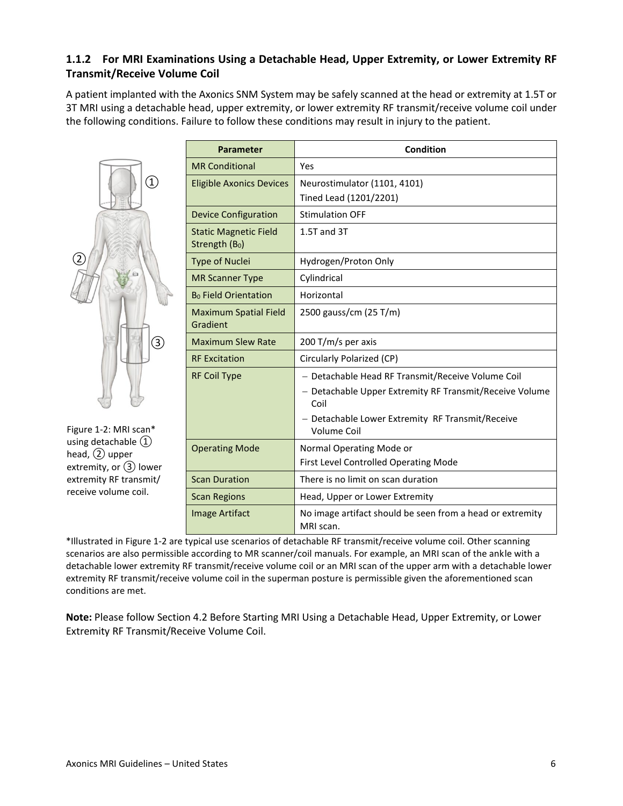### **1.1.2 For MRI Examinations Using a Detachable Head, Upper Extremity, or Lower Extremity RF Transmit/Receive Volume Coil**

A patient implanted with the Axonics SNM System may be safely scanned at the head or extremity at 1.5T or 3T MRI using a detachable head, upper extremity, or lower extremity RF transmit/receive volume coil under the following conditions. Failure to follow these conditions may result in injury to the patient.



<span id="page-6-0"></span>Figure 1-2: MRI scan\* using detachable  $(1)$ head,  $(2)$  upper extremity, or ③ lower extremity RF transmit/ receive volume coil.

| <b>Parameter</b>                                           | Condition                                                                                                                                                                               |
|------------------------------------------------------------|-----------------------------------------------------------------------------------------------------------------------------------------------------------------------------------------|
| <b>MR Conditional</b>                                      | Yes                                                                                                                                                                                     |
| <b>Eligible Axonics Devices</b>                            | Neurostimulator (1101, 4101)<br>Tined Lead (1201/2201)                                                                                                                                  |
| <b>Device Configuration</b>                                | <b>Stimulation OFF</b>                                                                                                                                                                  |
| <b>Static Magnetic Field</b><br>Strength (B <sub>0</sub> ) | $1.5T$ and $3T$                                                                                                                                                                         |
| <b>Type of Nuclei</b>                                      | Hydrogen/Proton Only                                                                                                                                                                    |
| <b>MR Scanner Type</b>                                     | Cylindrical                                                                                                                                                                             |
| B <sub>0</sub> Field Orientation                           | Horizontal                                                                                                                                                                              |
| <b>Maximum Spatial Field</b><br>Gradient                   | 2500 gauss/cm (25 T/m)                                                                                                                                                                  |
| <b>Maximum Slew Rate</b>                                   | 200 T/m/s per axis                                                                                                                                                                      |
| <b>RF Excitation</b>                                       | Circularly Polarized (CP)                                                                                                                                                               |
| <b>RF Coil Type</b>                                        | - Detachable Head RF Transmit/Receive Volume Coil<br>- Detachable Upper Extremity RF Transmit/Receive Volume<br>Coil<br>- Detachable Lower Extremity RF Transmit/Receive<br>Volume Coil |
| <b>Operating Mode</b>                                      | Normal Operating Mode or<br>First Level Controlled Operating Mode                                                                                                                       |
| <b>Scan Duration</b>                                       | There is no limit on scan duration                                                                                                                                                      |
| <b>Scan Regions</b>                                        | Head, Upper or Lower Extremity                                                                                                                                                          |
| <b>Image Artifact</b>                                      | No image artifact should be seen from a head or extremity<br>MRI scan.                                                                                                                  |

\*Illustrated in [Figure 1-2](#page-6-0) are typical use scenarios of detachable RF transmit/receive volume coil. Other scanning scenarios are also permissible according to MR scanner/coil manuals. For example, an MRI scan of the ankle with a detachable lower extremity RF transmit/receive volume coil or an MRI scan of the upper arm with a detachable lower extremity RF transmit/receive volume coil in the superman posture is permissible given the aforementioned scan conditions are met.

**Note:** Please follow Section [4.2](#page-12-0) Before Starting MRI [Using a Detachable Head, Upper Extremity, or Lower](#page-12-0)  [Extremity RF Transmit/Receive](#page-12-0) Volume Coil.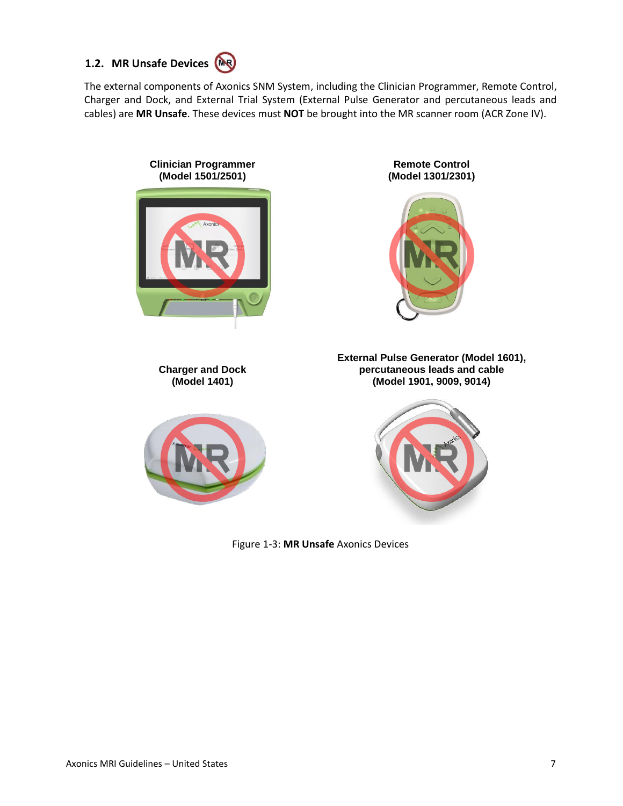# <span id="page-7-0"></span>**1.2. MR Unsafe Devices**

The external components of Axonics SNM System, including the Clinician Programmer, Remote Control, Charger and Dock, and External Trial System (External Pulse Generator and percutaneous leads and cables) are **MR Unsafe**. These devices must **NOT** be brought into the MR scanner room (ACR Zone IV).



Figure 1-3: **MR Unsafe** Axonics Devices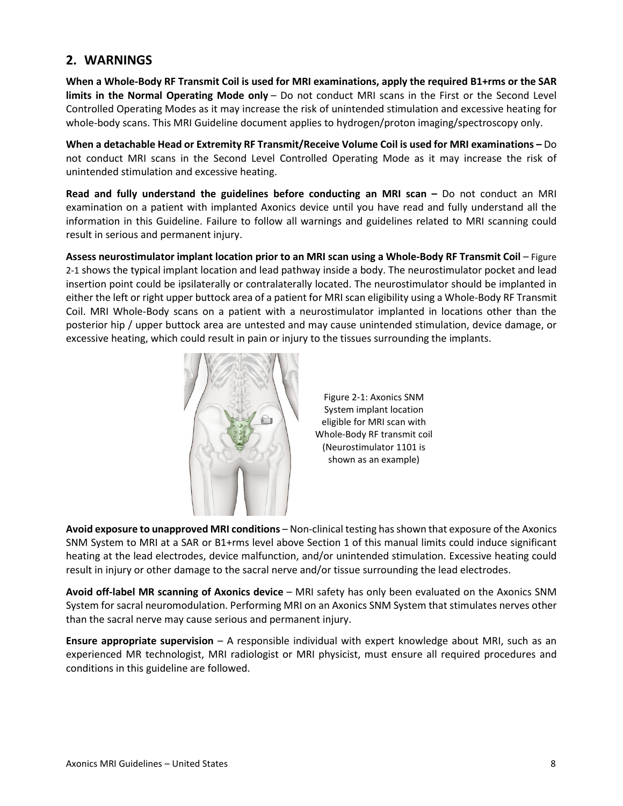## <span id="page-8-0"></span>**2. WARNINGS**

**When a Whole-Body RF Transmit Coil is used for MRI examinations, apply the required B1+rms or the SAR limits in the Normal Operating Mode only** – Do not conduct MRI scans in the First or the Second Level Controlled Operating Modes as it may increase the risk of unintended stimulation and excessive heating for whole-body scans. This MRI Guideline document applies to hydrogen/proton imaging/spectroscopy only.

**When a detachable Head or Extremity RF Transmit/Receive Volume Coil is used for MRI examinations –** Do not conduct MRI scans in the Second Level Controlled Operating Mode as it may increase the risk of unintended stimulation and excessive heating.

**Read and fully understand the guidelines before conducting an MRI scan –** Do not conduct an MRI examination on a patient with implanted Axonics device until you have read and fully understand all the information in this Guideline. Failure to follow all warnings and guidelines related to MRI scanning could result in serious and permanent injury.

**Assess neurostimulator implant location prior to an MRI scan using a Whole-Body RF Transmit Coil** – [Figure](#page-8-1)  [2-1](#page-8-1) shows the typical implant location and lead pathway inside a body. The neurostimulator pocket and lead insertion point could be ipsilaterally or contralaterally located. The neurostimulator should be implanted in either the left or right upper buttock area of a patient for MRI scan eligibility using a Whole-Body RF Transmit Coil. MRI Whole-Body scans on a patient with a neurostimulator implanted in locations other than the posterior hip / upper buttock area are untested and may cause unintended stimulation, device damage, or excessive heating, which could result in pain or injury to the tissues surrounding the implants.



<span id="page-8-1"></span>Figure 2-1: Axonics SNM System implant location eligible for MRI scan with Whole-Body RF transmit coil (Neurostimulator 1101 is shown as an example)

**Avoid exposure to unapproved MRI conditions** – Non-clinical testing has shown that exposure of the Axonics SNM System to MRI at a SAR or B1+rms level above Section 1 of this manual limits could induce significant heating at the lead electrodes, device malfunction, and/or unintended stimulation. Excessive heating could result in injury or other damage to the sacral nerve and/or tissue surrounding the lead electrodes.

**Avoid off-label MR scanning of Axonics device** – MRI safety has only been evaluated on the Axonics SNM System for sacral neuromodulation. Performing MRI on an Axonics SNM System that stimulates nerves other than the sacral nerve may cause serious and permanent injury.

**Ensure appropriate supervision** – A responsible individual with expert knowledge about MRI, such as an experienced MR technologist, MRI radiologist or MRI physicist, must ensure all required procedures and conditions in this guideline are followed.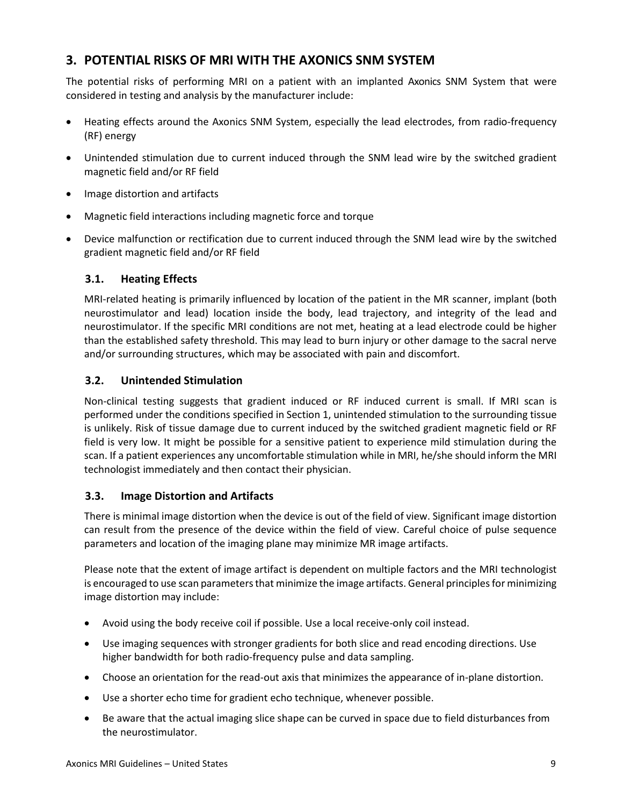# <span id="page-9-0"></span>**3. POTENTIAL RISKS OF MRI WITH THE AXONICS SNM SYSTEM**

The potential risks of performing MRI on a patient with an implanted Axonics SNM System that were considered in testing and analysis by the manufacturer include:

- Heating effects around the Axonics SNM System, especially the lead electrodes, from radio-frequency (RF) energy
- Unintended stimulation due to current induced through the SNM lead wire by the switched gradient magnetic field and/or RF field
- Image distortion and artifacts
- Magnetic field interactions including magnetic force and torque
- Device malfunction or rectification due to current induced through the SNM lead wire by the switched gradient magnetic field and/or RF field

#### <span id="page-9-1"></span>**3.1. Heating Effects**

MRI-related heating is primarily influenced by location of the patient in the MR scanner, implant (both neurostimulator and lead) location inside the body, lead trajectory, and integrity of the lead and neurostimulator. If the specific MRI conditions are not met, heating at a lead electrode could be higher than the established safety threshold. This may lead to burn injury or other damage to the sacral nerve and/or surrounding structures, which may be associated with pain and discomfort.

#### <span id="page-9-2"></span>**3.2. Unintended Stimulation**

Non-clinical testing suggests that gradient induced or RF induced current is small. If MRI scan is performed under the conditions specified in Section 1, unintended stimulation to the surrounding tissue is unlikely. Risk of tissue damage due to current induced by the switched gradient magnetic field or RF field is very low. It might be possible for a sensitive patient to experience mild stimulation during the scan. If a patient experiences any uncomfortable stimulation while in MRI, he/she should inform the MRI technologist immediately and then contact their physician.

#### <span id="page-9-3"></span>**3.3. Image Distortion and Artifacts**

There is minimal image distortion when the device is out of the field of view. Significant image distortion can result from the presence of the device within the field of view. Careful choice of pulse sequence parameters and location of the imaging plane may minimize MR image artifacts.

Please note that the extent of image artifact is dependent on multiple factors and the MRI technologist is encouraged to use scan parameters that minimize the image artifacts. General principles for minimizing image distortion may include:

- Avoid using the body receive coil if possible. Use a local receive-only coil instead.
- Use imaging sequences with stronger gradients for both slice and read encoding directions. Use higher bandwidth for both radio-frequency pulse and data sampling.
- Choose an orientation for the read-out axis that minimizes the appearance of in-plane distortion.
- Use a shorter echo time for gradient echo technique, whenever possible.
- Be aware that the actual imaging slice shape can be curved in space due to field disturbances from the neurostimulator.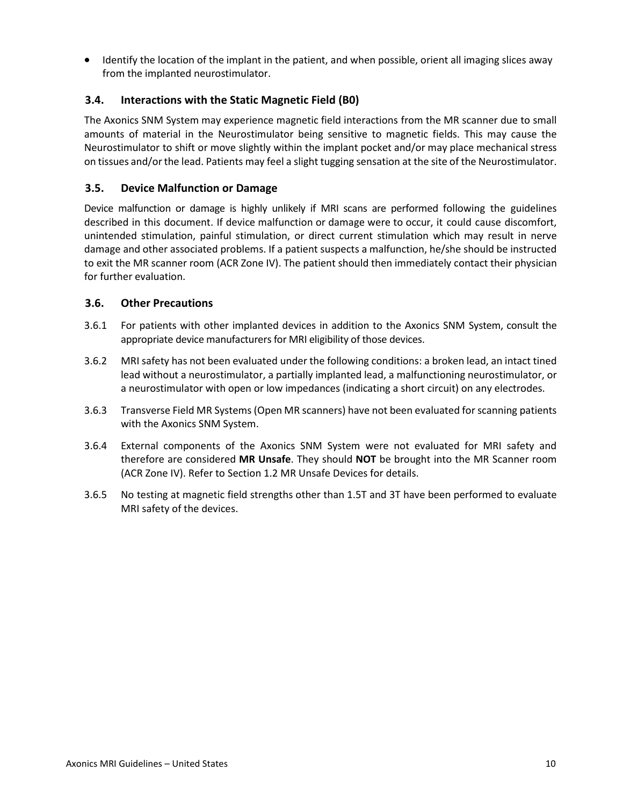• Identify the location of the implant in the patient, and when possible, orient all imaging slices away from the implanted neurostimulator.

#### <span id="page-10-0"></span>**3.4. Interactions with the Static Magnetic Field (B0)**

The Axonics SNM System may experience magnetic field interactions from the MR scanner due to small amounts of material in the Neurostimulator being sensitive to magnetic fields. This may cause the Neurostimulator to shift or move slightly within the implant pocket and/or may place mechanical stress on tissues and/orthe lead. Patients may feel a slight tugging sensation at the site of the Neurostimulator.

#### <span id="page-10-1"></span>**3.5. Device Malfunction or Damage**

Device malfunction or damage is highly unlikely if MRI scans are performed following the guidelines described in this document. If device malfunction or damage were to occur, it could cause discomfort, unintended stimulation, painful stimulation, or direct current stimulation which may result in nerve damage and other associated problems. If a patient suspects a malfunction, he/she should be instructed to exit the MR scanner room (ACR Zone IV). The patient should then immediately contact their physician for further evaluation.

#### <span id="page-10-2"></span>**3.6. Other Precautions**

- 3.6.1 For patients with other implanted devices in addition to the Axonics SNM System, consult the appropriate device manufacturers for MRI eligibility of those devices.
- 3.6.2 MRI safety has not been evaluated under the following conditions: a broken lead, an intact tined lead without a neurostimulator, a partially implanted lead, a malfunctioning neurostimulator, or a neurostimulator with open or low impedances (indicating a short circuit) on any electrodes.
- 3.6.3 Transverse Field MR Systems (Open MR scanners) have not been evaluated for scanning patients with the Axonics SNM System.
- 3.6.4 External components of the Axonics SNM System were not evaluated for MRI safety and therefore are considered **MR Unsafe**. They should **NOT** be brought into the MR Scanner room (ACR Zone IV). Refer to Section [1.2](#page-7-0) [MR Unsafe Devices](#page-7-0) for details.
- 3.6.5 No testing at magnetic field strengths other than 1.5T and 3T have been performed to evaluate MRI safety of the devices.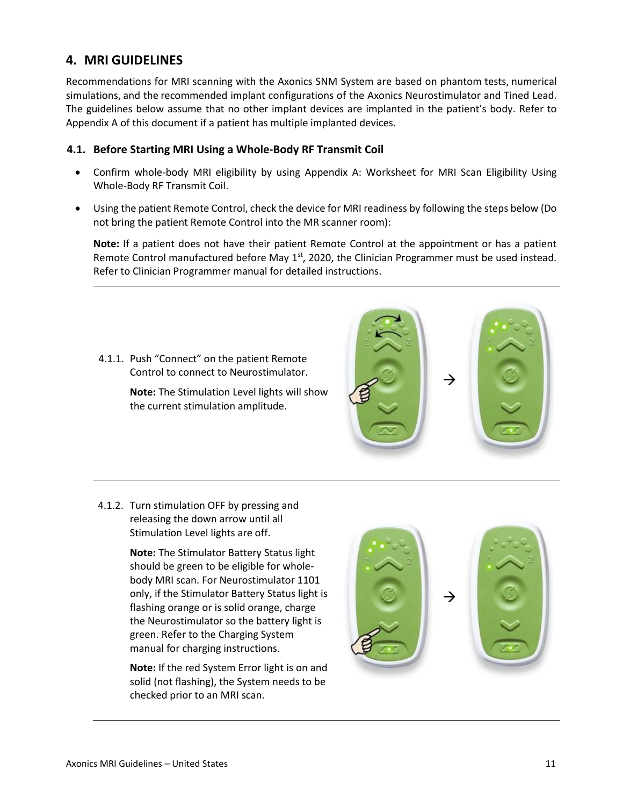# <span id="page-11-0"></span>**4. MRI GUIDELINES**

Recommendations for MRI scanning with the Axonics SNM System are based on phantom tests, numerical simulations, and the recommended implant configurations of the Axonics Neurostimulator and Tined Lead. The guidelines below assume that no other implant devices are implanted in the patient's body. Refer to Appendix A of this document if a patient has multiple implanted devices.

#### <span id="page-11-1"></span>**4.1. Before Starting MRI Using a Whole-Body RF Transmit Coil**

- Confirm whole-body MRI eligibility by using Appendix A: [Worksheet for MRI Scan Eligibility Using](#page-14-0)  Whole-Body RF [Transmit Coil.](#page-14-0)
- Using the patient Remote Control, check the device for MRI readiness by following the steps below (Do not bring the patient Remote Control into the MR scanner room):

**Note:** If a patient does not have their patient Remote Control at the appointment or has a patient Remote Control manufactured before May  $1<sup>st</sup>$ , 2020, the Clinician Programmer must be used instead. Refer to Clinician Programmer manual for detailed instructions.

4.1.1. Push "Connect" on the patient Remote Control to connect to Neurostimulator.

> **Note:** The Stimulation Level lights will show the current stimulation amplitude.



4.1.2. Turn stimulation OFF by pressing and releasing the down arrow until all Stimulation Level lights are off.

> **Note:** The Stimulator Battery Status light should be green to be eligible for wholebody MRI scan. For Neurostimulator 1101 only, if the Stimulator Battery Status light is flashing orange or is solid orange, charge the Neurostimulator so the battery light is green. Refer to the Charging System manual for charging instructions.

> **Note:** If the red System Error light is on and solid (not flashing), the System needs to be checked prior to an MRI scan.

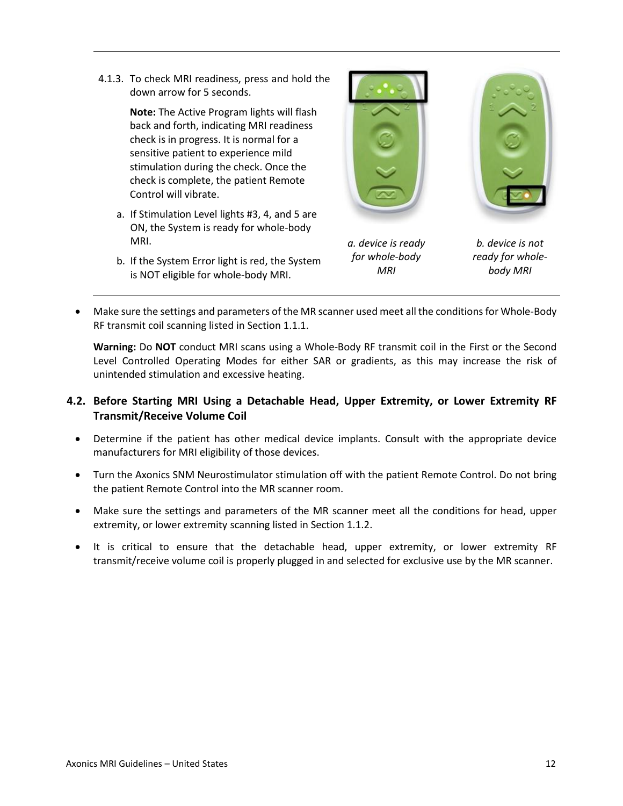4.1.3. To check MRI readiness, press and hold the down arrow for 5 seconds.

> **Note:** The Active Program lights will flash back and forth, indicating MRI readiness check is in progress. It is normal for a sensitive patient to experience mild stimulation during the check. Once the check is complete, the patient Remote Control will vibrate.

- a. If Stimulation Level lights #3, 4, and 5 are ON, the System is ready for whole-body MRI.
- b. If the System Error light is red, the System is NOT eligible for whole-body MRI.





*a. device is ready for whole-body MRI*

*b. device is not ready for wholebody MRI*

• Make sure the settings and parameters of the MR scanner used meet all the conditions for Whole-Body RF transmit coil scanning listed in Section 1.1.1.

**Warning:** Do **NOT** conduct MRI scans using a Whole-Body RF transmit coil in the First or the Second Level Controlled Operating Modes for either SAR or gradients, as this may increase the risk of unintended stimulation and excessive heating.

#### <span id="page-12-0"></span>**4.2. Before Starting MRI Using a Detachable Head, Upper Extremity, or Lower Extremity RF Transmit/Receive Volume Coil**

- Determine if the patient has other medical device implants. Consult with the appropriate device manufacturers for MRI eligibility of those devices.
- Turn the Axonics SNM Neurostimulator stimulation off with the patient Remote Control. Do not bring the patient Remote Control into the MR scanner room.
- Make sure the settings and parameters of the MR scanner meet all the conditions for head, upper extremity, or lower extremity scanning listed in Section 1.1.2.
- It is critical to ensure that the detachable head, upper extremity, or lower extremity RF transmit/receive volume coil is properly plugged in and selected for exclusive use by the MR scanner.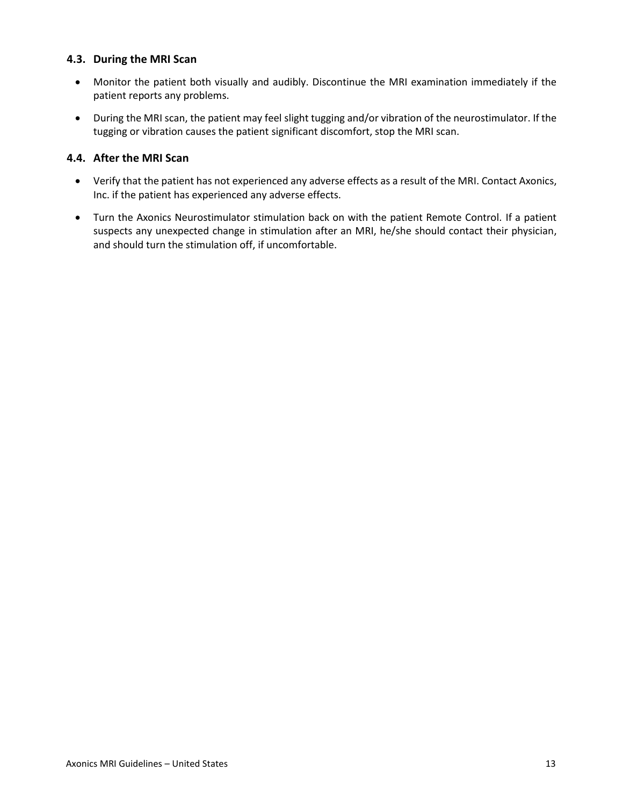#### <span id="page-13-0"></span>**4.3. During the MRI Scan**

- Monitor the patient both visually and audibly. Discontinue the MRI examination immediately if the patient reports any problems.
- During the MRI scan, the patient may feel slight tugging and/or vibration of the neurostimulator. If the tugging or vibration causes the patient significant discomfort, stop the MRI scan.

#### <span id="page-13-1"></span>**4.4. After the MRI Scan**

- Verify that the patient has not experienced any adverse effects as a result of the MRI. Contact Axonics, Inc. if the patient has experienced any adverse effects.
- Turn the Axonics Neurostimulator stimulation back on with the patient Remote Control. If a patient suspects any unexpected change in stimulation after an MRI, he/she should contact their physician, and should turn the stimulation off, if uncomfortable.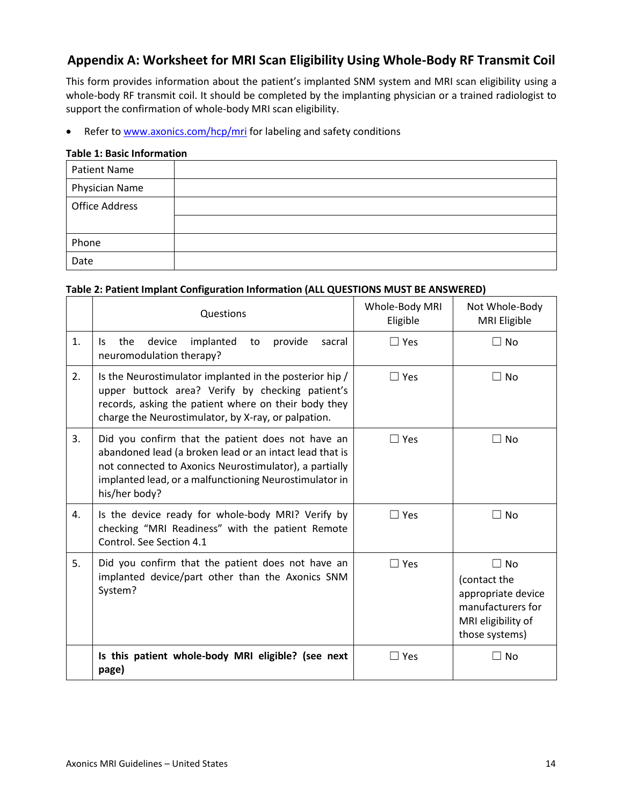# <span id="page-14-0"></span>**Appendix A: Worksheet for MRI Scan Eligibility Using Whole-Body RF Transmit Coil**

This form provides information about the patient's implanted SNM system and MRI scan eligibility using a whole-body RF transmit coil. It should be completed by the implanting physician or a trained radiologist to support the confirmation of whole-body MRI scan eligibility.

• Refer to [www.axonics.com/hcp/mri](http://www.axonics.com/hcp/mri) for labeling and safety conditions

#### **Table 1: Basic Information**

| <b>Patient Name</b>   |  |
|-----------------------|--|
| Physician Name        |  |
| <b>Office Address</b> |  |
|                       |  |
| Phone                 |  |
| Date                  |  |

#### **Table 2: Patient Implant Configuration Information (ALL QUESTIONS MUST BE ANSWERED)**

|    | Questions                                                                                                                                                                                                                                         | Whole-Body MRI<br>Eligible | Not Whole-Body<br>MRI Eligible                                                                               |
|----|---------------------------------------------------------------------------------------------------------------------------------------------------------------------------------------------------------------------------------------------------|----------------------------|--------------------------------------------------------------------------------------------------------------|
| 1. | device<br>implanted<br>provide<br>the<br>to<br>sacral<br>ls.<br>neuromodulation therapy?                                                                                                                                                          | $\Box$ Yes                 | $\Box$ No                                                                                                    |
| 2. | Is the Neurostimulator implanted in the posterior hip /<br>upper buttock area? Verify by checking patient's<br>records, asking the patient where on their body they<br>charge the Neurostimulator, by X-ray, or palpation.                        | $\Box$ Yes                 | $\square$ No                                                                                                 |
| 3. | Did you confirm that the patient does not have an<br>abandoned lead (a broken lead or an intact lead that is<br>not connected to Axonics Neurostimulator), a partially<br>implanted lead, or a malfunctioning Neurostimulator in<br>his/her body? | $\Box$ Yes                 | $\square$ No                                                                                                 |
| 4. | Is the device ready for whole-body MRI? Verify by<br>checking "MRI Readiness" with the patient Remote<br>Control. See Section 4.1                                                                                                                 | $\Box$ Yes                 | $\Box$ No                                                                                                    |
| 5. | Did you confirm that the patient does not have an<br>implanted device/part other than the Axonics SNM<br>System?                                                                                                                                  | $\Box$ Yes                 | $\Box$ No<br>(contact the<br>appropriate device<br>manufacturers for<br>MRI eligibility of<br>those systems) |
|    | Is this patient whole-body MRI eligible? (see next<br>page)                                                                                                                                                                                       | $\square$ Yes              | $\Box$ No                                                                                                    |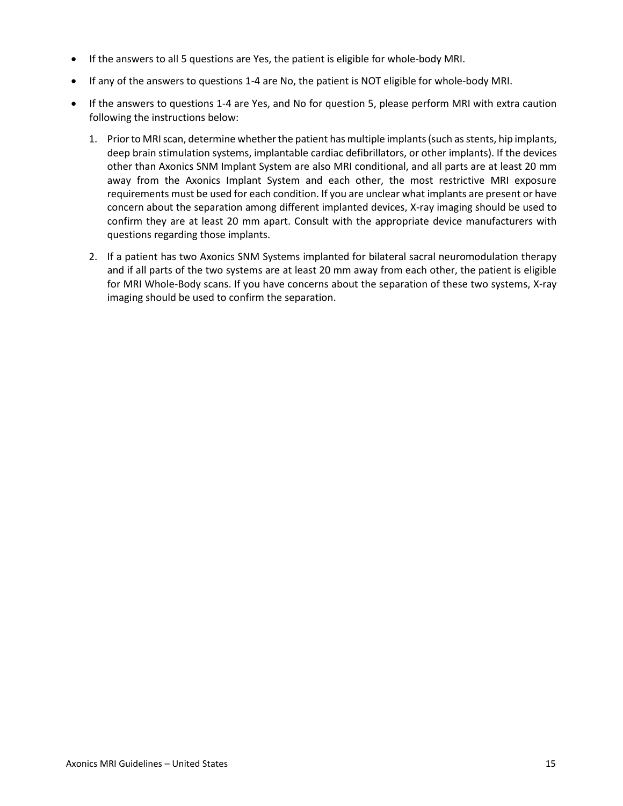- If the answers to all 5 questions are Yes, the patient is eligible for whole-body MRI.
- If any of the answers to questions 1-4 are No, the patient is NOT eligible for whole-body MRI.
- If the answers to questions 1-4 are Yes, and No for question 5, please perform MRI with extra caution following the instructions below:
	- 1. Prior to MRI scan, determine whether the patient has multiple implants (such as stents, hip implants, deep brain stimulation systems, implantable cardiac defibrillators, or other implants). If the devices other than Axonics SNM Implant System are also MRI conditional, and all parts are at least 20 mm away from the Axonics Implant System and each other, the most restrictive MRI exposure requirements must be used for each condition. If you are unclear what implants are present or have concern about the separation among different implanted devices, X-ray imaging should be used to confirm they are at least 20 mm apart. Consult with the appropriate device manufacturers with questions regarding those implants.
	- 2. If a patient has two Axonics SNM Systems implanted for bilateral sacral neuromodulation therapy and if all parts of the two systems are at least 20 mm away from each other, the patient is eligible for MRI Whole-Body scans. If you have concerns about the separation of these two systems, X-ray imaging should be used to confirm the separation.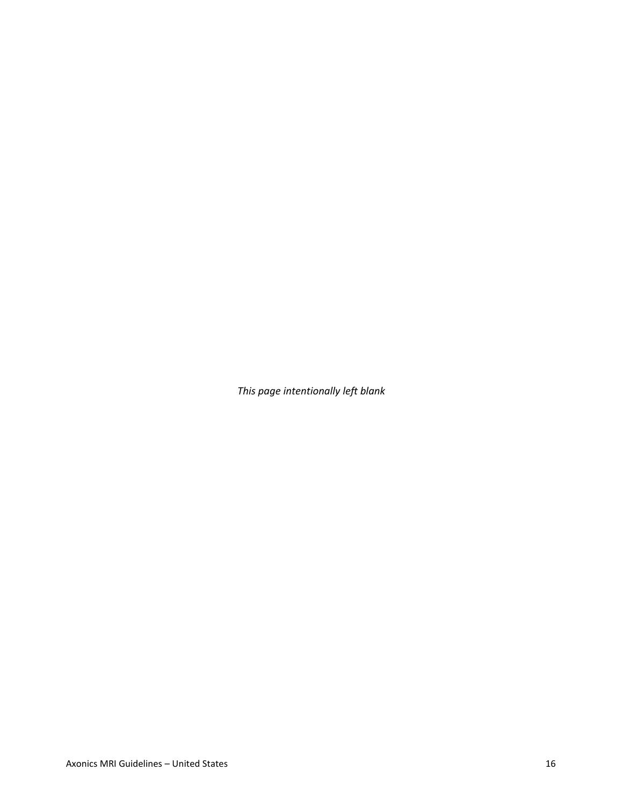*This page intentionally left blank*